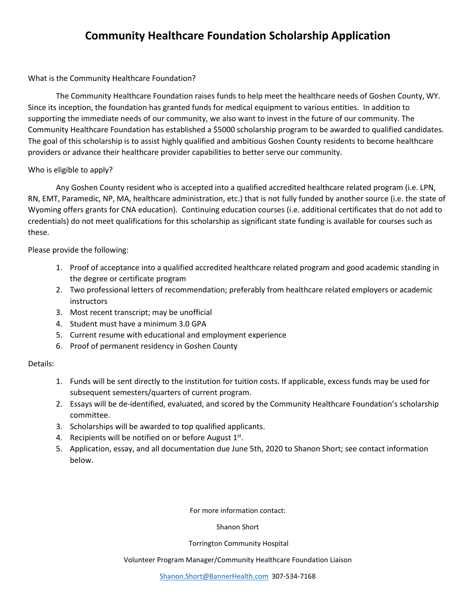# **Community Healthcare Foundation Scholarship Application**

## What is the Community Healthcare Foundation?

The Community Healthcare Foundation raises funds to help meet the healthcare needs of Goshen County, WY. Since its inception, the foundation has granted funds for medical equipment to various entities. In addition to supporting the immediate needs of our community, we also want to invest in the future of our community. The Community Healthcare Foundation has established a \$5000 scholarship program to be awarded to qualified candidates. The goal of this scholarship is to assist highly qualified and ambitious Goshen County residents to become healthcare providers or advance their healthcare provider capabilities to better serve our community.

# Who is eligible to apply?

Any Goshen County resident who is accepted into a qualified accredited healthcare related program (i.e. LPN, RN, EMT, Paramedic, NP, MA, healthcare administration, etc.) that is not fully funded by another source (i.e. the state of Wyoming offers grants for CNA education). Continuing education courses (i.e. additional certificates that do not add to credentials) do not meet qualifications for this scholarship as significant state funding is available for courses such as these.

# Please provide the following:

- 1. Proof of acceptance into a qualified accredited healthcare related program and good academic standing in the degree or certificate program
- 2. Two professional letters of recommendation; preferably from healthcare related employers or academic instructors
- 3. Most recent transcript; may be unofficial
- 4. Student must have a minimum 3.0 GPA
- 5. Current resume with educational and employment experience
- 6. Proof of permanent residency in Goshen County

## Details:

- 1. Funds will be sent directly to the institution for tuition costs. If applicable, excess funds may be used for subsequent semesters/quarters of current program.
- 2. Essays will be de-identified, evaluated, and scored by the Community Healthcare Foundation's scholarship committee.
- 3. Scholarships will be awarded to top qualified applicants.
- 4. Recipients will be notified on or before August 1st.
- 5. Application, essay, and all documentation due June 5th, 2020 to Shanon Short; see contact information below.

For more information contact:

Shanon Short

#### Torrington Community Hospital

Volunteer Program Manager/Community Healthcare Foundation Liaison